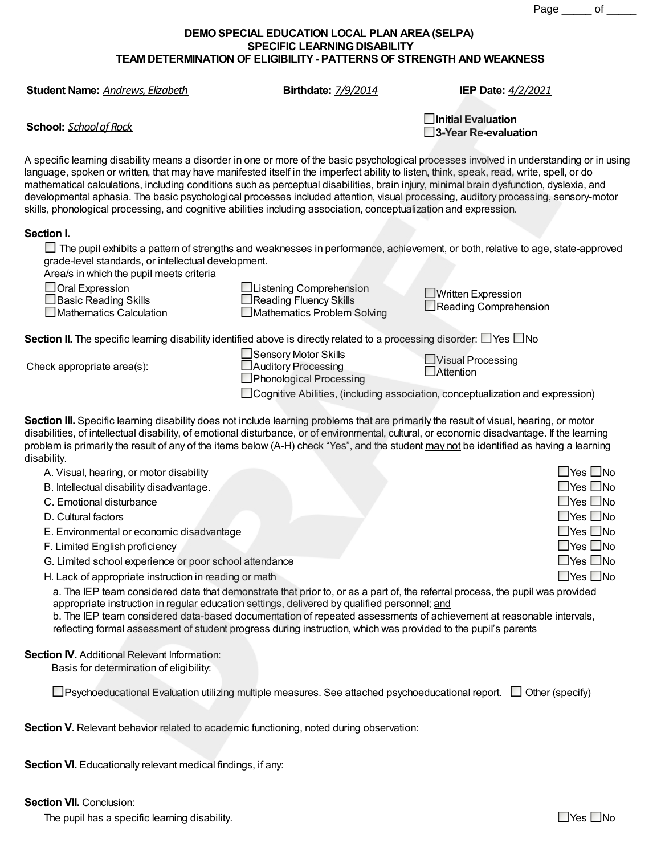Page \_\_\_\_\_ of \_\_\_\_\_

## **DEMOSPECIAL EDUCATION LOCAL PLAN AREA(SELPA) SPECIFIC LEARNING DISABILITY TEAM DETERMINATION OF ELIGIBILITY- PATTERNS OF STRENGTH AND WEAKNESS**

**Student Name:** *Andrews,Elizabeth* **Birthdate:** *7/9/2014* **IEP Date:** *4/2/2021*

**School:** *Schoolof Rock*

| $\Box$ Initial Evaluation      |  |
|--------------------------------|--|
| $\square$ 3-Year Re-evaluation |  |

A specific learning disability means a disorder in one or more of the basic psychological processes involved in understanding or in using language, spoken or written, that may have manifested itself in the imperfect ability to listen, think, speak, read, write, spell, or do mathematical calculations, including conditions such as perceptual disabilities, brain injury, minimal brain dysfunction, dyslexia, and developmental aphasia. The basic psychological processes included attention, visual processing, auditory processing, sensory-motor skills, phonological processing, and cognitive abilities including association, conceptualization and expression.

## **Section I.**

The pupil exhibits a pattern of strengths and weaknesses in performance, achievement, or both, relative to age, state-approved grade-level standards, or intellectual development.

Area/s in which the pupil meets criteria

| Oral Expression             |
|-----------------------------|
| $\Box$ Basic Reading Skills |

Mathematics Calculation

| □Listening Comprehension    |
|-----------------------------|
| Reading Fluency Skills      |
| Mathematics Problem Solving |

Written Expression Reading Comprehension

**Section II.** The specific learning disability identified above is directly related to a processing disorder:  $\Box$  Yes  $\Box$  No

Check appropriate area(s):

■Sensory Motor Skills Auditory Processing **Phonological Processing** 

**Nisual Processing Attention** 

□ Cognitive Abilities, (including association, conceptualization and expression)

**Section III.** Specific learning disability does not include learning problems that are primarily the result of visual, hearing, or motor disabilities, of intellectual disability, of emotional disturbance, or of environmental, cultural, or economic disadvantage. If the learning problem is primarily the result of any of the items below (A-H) check "Yes", and the student may not be identified as having a learning disability.

| A. Visual, hearing, or motor disability                | $\square$ Yes $\square$ No |
|--------------------------------------------------------|----------------------------|
| B. Intellectual disability disadvantage.               | $\Box$ Yes $\Box$ No       |
| C. Emotional disturbance                               | $\Box$ Yes $\Box$ No       |
| D. Cultural factors                                    | $\Box$ Yes $\Box$ No       |
| E. Environmental or economic disadvantage              | $\Box$ Yes $\Box$ No       |
| F. Limited English proficiency                         | $\Box$ Yes $\Box$ No       |
| G. Limited school experience or poor school attendance | $\Box$ Yes $\Box$ No       |
| H. Lack of appropriate instruction in reading or math  | $\Box$ Yes $\Box$ No       |

a. The IEP team considered data that demonstrate that prior to, or as a part of, the referral process, the pupil was provided appropriate instruction in regular education settings, delivered by qualified personnel; and

b. The IEP team considered data-based documentation of repeated assessments of achievement at reasonable intervals, reflecting formal assessment of student progress during instruction, which was provided to the pupil's parents

## **Section IV.** Additional Relevant Information:

Basis for determination of eligibility:

 $\Box$ Psychoeducational Evaluation utilizing multiple measures. See attached psychoeducational report.  $\Box$  Other (specify)

**Section V.** Relevant behavior related to academic functioning, noted during observation:

**Section VI.** Educationally relevant medical findings, if any:

**Section VII.** Conclusion:

The pupil has a specific learning disability.  $\Box$  Yes  $\Box$  No